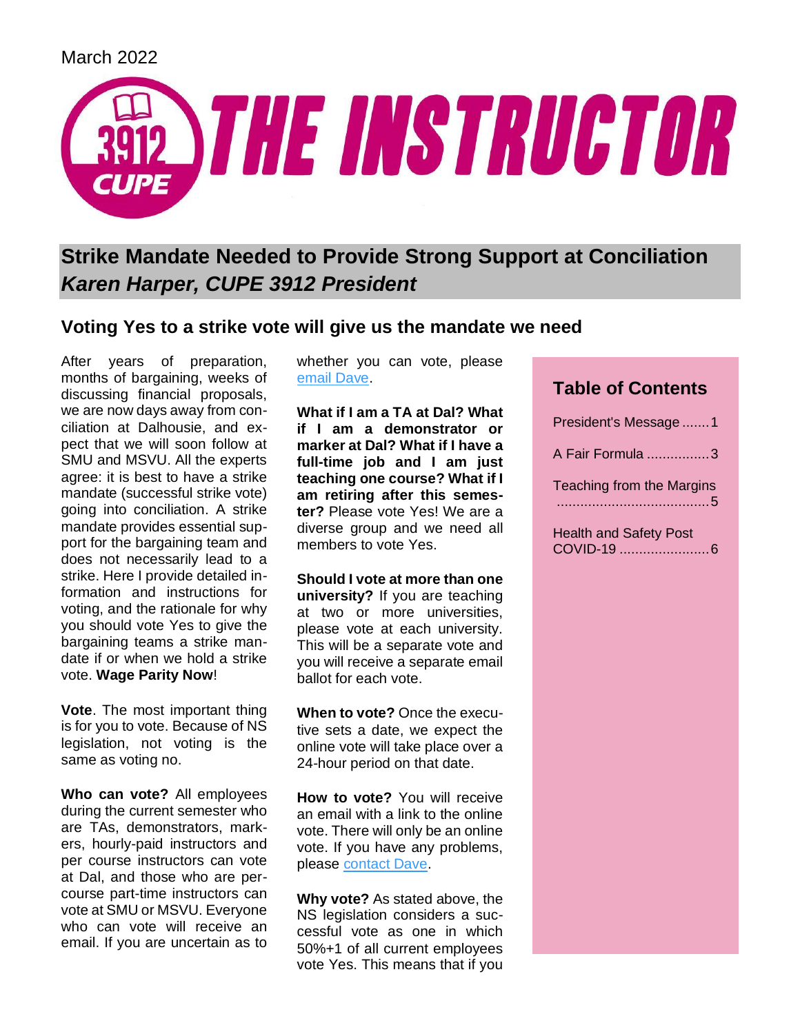

# **Strike Mandate Needed to Provide Strong Support at Conciliation** *Karen Harper, CUPE 3912 President*

## **Voting Yes to a strike vote will give us the mandate we need**

After years of preparation, months of bargaining, weeks of discussing financial proposals, we are now days away from conciliation at Dalhousie, and expect that we will soon follow at SMU and MSVU. All the experts agree: it is best to have a strike mandate (successful strike vote) going into conciliation. A strike mandate provides essential support for the bargaining team and does not necessarily lead to a strike. Here I provide detailed information and instructions for voting, and the rationale for why you should vote Yes to give the bargaining teams a strike mandate if or when we hold a strike vote. **Wage Parity Now**!

**Vote**. The most important thing is for you to vote. Because of NS legislation, not voting is the same as voting no.

**Who can vote?** All employees during the current semester who are TAs, demonstrators, markers, hourly-paid instructors and per course instructors can vote at Dal, and those who are percourse part-time instructors can vote at SMU or MSVU. Everyone who can vote will receive an email. If you are uncertain as to

whether you can vote, please [email Dave.](mailto:outreach@cupe3912.ca)

**What if I am a TA at Dal? What if I am a demonstrator or marker at Dal? What if I have a full-time job and I am just teaching one course? What if I am retiring after this semester?** Please vote Yes! We are a diverse group and we need all members to vote Yes.

**Should I vote at more than one university?** If you are teaching at two or more universities, please vote at each university. This will be a separate vote and you will receive a separate email ballot for each vote.

**When to vote?** Once the executive sets a date, we expect the online vote will take place over a 24-hour period on that date.

**How to vote?** You will receive an email with a link to the online vote. There will only be an online vote. If you have any problems, please [contact Dave.](mailto:outreach@cupe3912.ca)

**Why vote?** As stated above, the NS legislation considers a successful vote as one in which 50%+1 of all current employees vote Yes. This means that if you

## **Table of Contents**

| President's Message 1         |
|-------------------------------|
| A Fair Formula 3              |
| Teaching from the Margins     |
| <b>Health and Safety Post</b> |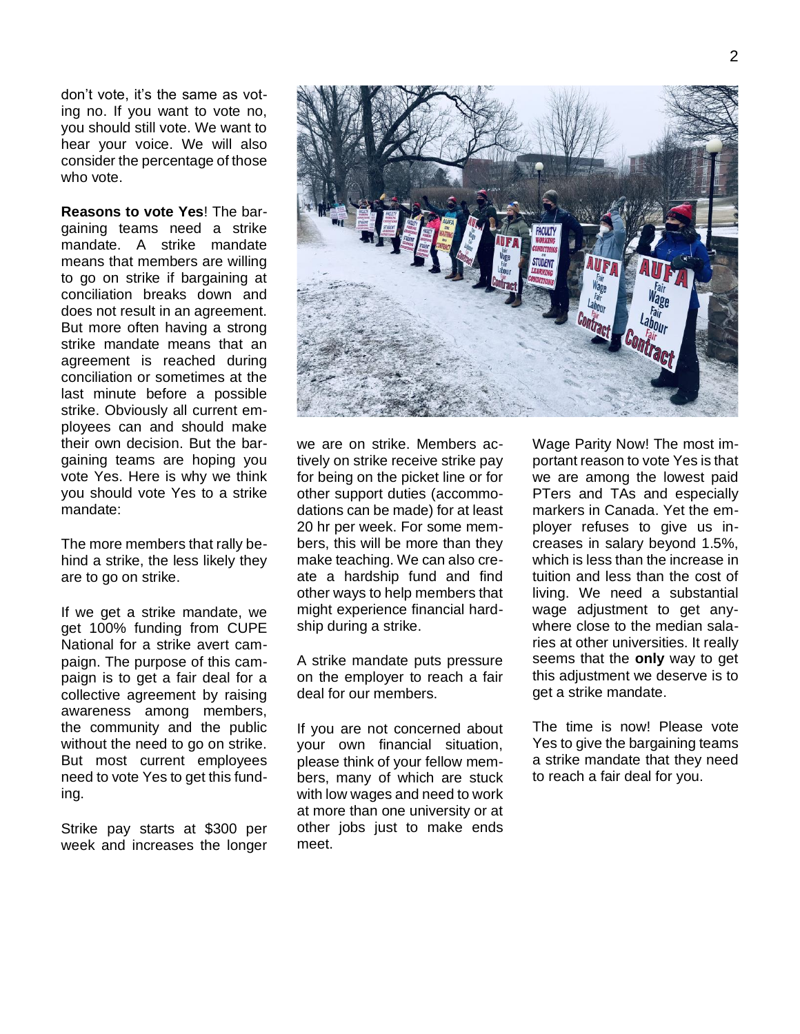don't vote, it's the same as voting no. If you want to vote no, you should still vote. We want to hear your voice. We will also consider the percentage of those who vote.

**Reasons to vote Yes**! The bargaining teams need a strike mandate. A strike mandate means that members are willing to go on strike if bargaining at conciliation breaks down and does not result in an agreement. But more often having a strong strike mandate means that an agreement is reached during conciliation or sometimes at the last minute before a possible strike. Obviously all current employees can and should make their own decision. But the bargaining teams are hoping you vote Yes. Here is why we think you should vote Yes to a strike mandate:

The more members that rally behind a strike, the less likely they are to go on strike.

If we get a strike mandate, we get 100% funding from CUPE National for a strike avert campaign. The purpose of this campaign is to get a fair deal for a collective agreement by raising awareness among members, the community and the public without the need to go on strike. But most current employees need to vote Yes to get this funding.

Strike pay starts at \$300 per week and increases the longer



we are on strike. Members actively on strike receive strike pay for being on the picket line or for other support duties (accommodations can be made) for at least 20 hr per week. For some members, this will be more than they make teaching. We can also create a hardship fund and find other ways to help members that might experience financial hardship during a strike.

A strike mandate puts pressure on the employer to reach a fair deal for our members.

If you are not concerned about your own financial situation, please think of your fellow members, many of which are stuck with low wages and need to work at more than one university or at other jobs just to make ends meet.

Wage Parity Now! The most important reason to vote Yes is that we are among the lowest paid PTers and TAs and especially markers in Canada. Yet the employer refuses to give us increases in salary beyond 1.5%, which is less than the increase in tuition and less than the cost of living. We need a substantial wage adjustment to get anywhere close to the median salaries at other universities. It really seems that the **only** way to get this adjustment we deserve is to get a strike mandate.

The time is now! Please vote Yes to give the bargaining teams a strike mandate that they need to reach a fair deal for you.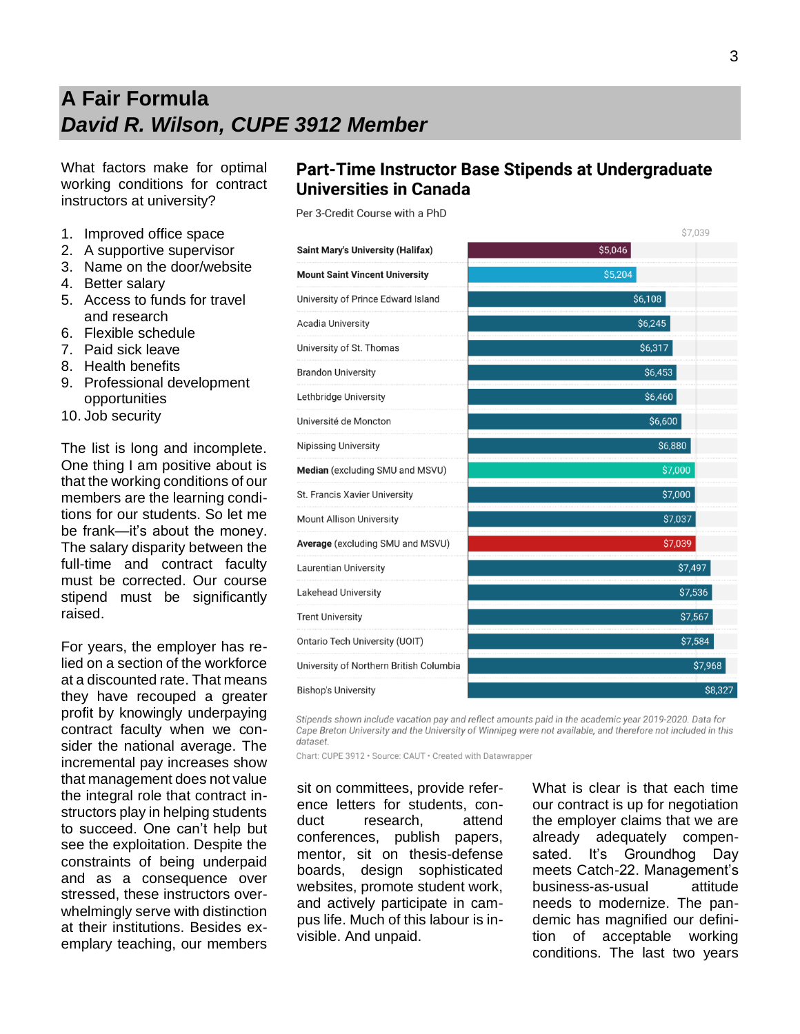# **A Fair Formula** *David R. Wilson, CUPE 3912 Member*

What factors make for optimal working conditions for contract instructors at university?

- 1. Improved office space
- 2. A supportive supervisor
- 3. Name on the door/website
- 4. Better salary
- 5. Access to funds for travel and research
- 6. Flexible schedule
- 7. Paid sick leave
- 8. Health benefits
- 9. Professional development opportunities
- 10. Job security

The list is long and incomplete. One thing I am positive about is that the working conditions of our members are the learning conditions for our students. So let me be frank—it's about the money. The salary disparity between the full-time and contract faculty must be corrected. Our course stipend must be significantly raised.

For years, the employer has relied on a section of the workforce at a discounted rate. That means they have recouped a greater profit by knowingly underpaying contract faculty when we consider the national average. The incremental pay increases show that management does not value the integral role that contract instructors play in helping students to succeed. One can't help but see the exploitation. Despite the constraints of being underpaid and as a consequence over stressed, these instructors overwhelmingly serve with distinction at their institutions. Besides exemplary teaching, our members

### Part-Time Instructor Base Stipends at Undergraduate **Universities in Canada**

Per 3-Credit Course with a PhD

| <b>Saint Mary's University (Halifax)</b> | \$5,046 |
|------------------------------------------|---------|
| <b>Mount Saint Vincent University</b>    | \$5,204 |
| University of Prince Edward Island       | \$6,108 |
| Acadia University                        | \$6,245 |
| University of St. Thomas                 | \$6,317 |
| <b>Brandon University</b>                | \$6,453 |
| Lethbridge University                    | \$6,460 |
| Université de Moncton                    | \$6,600 |
| <b>Nipissing University</b>              | \$6,880 |
| Median (excluding SMU and MSVU)          | \$7,000 |
| St. Francis Xavier University            | \$7,000 |
| <b>Mount Allison University</b>          | \$7,037 |
| Average (excluding SMU and MSVU)         | \$7,039 |
| Laurentian University                    | \$7,497 |
| <b>Lakehead University</b>               | \$7,536 |
| <b>Trent University</b>                  | \$7,567 |
| Ontario Tech University (UOIT)           | \$7,584 |
| University of Northern British Columbia  | \$7,968 |
| Bishop's University                      | \$8.327 |

Stipends shown include vacation pay and reflect amounts paid in the academic year 2019-2020. Data for Cape Breton University and the University of Winnipeg were not available, and therefore not included in this dataset.

Chart: CUPE 3912 · Source: CAUT · Created with Datawrapper

sit on committees, provide reference letters for students, conduct research, attend conferences, publish papers, mentor, sit on thesis-defense boards, design sophisticated websites, promote student work, and actively participate in campus life. Much of this labour is invisible. And unpaid.

What is clear is that each time our contract is up for negotiation the employer claims that we are already adequately compensated. It's Groundhog Day meets Catch-22. Management's business-as-usual attitude needs to modernize. The pandemic has magnified our definition of acceptable working conditions. The last two years

**67 U30**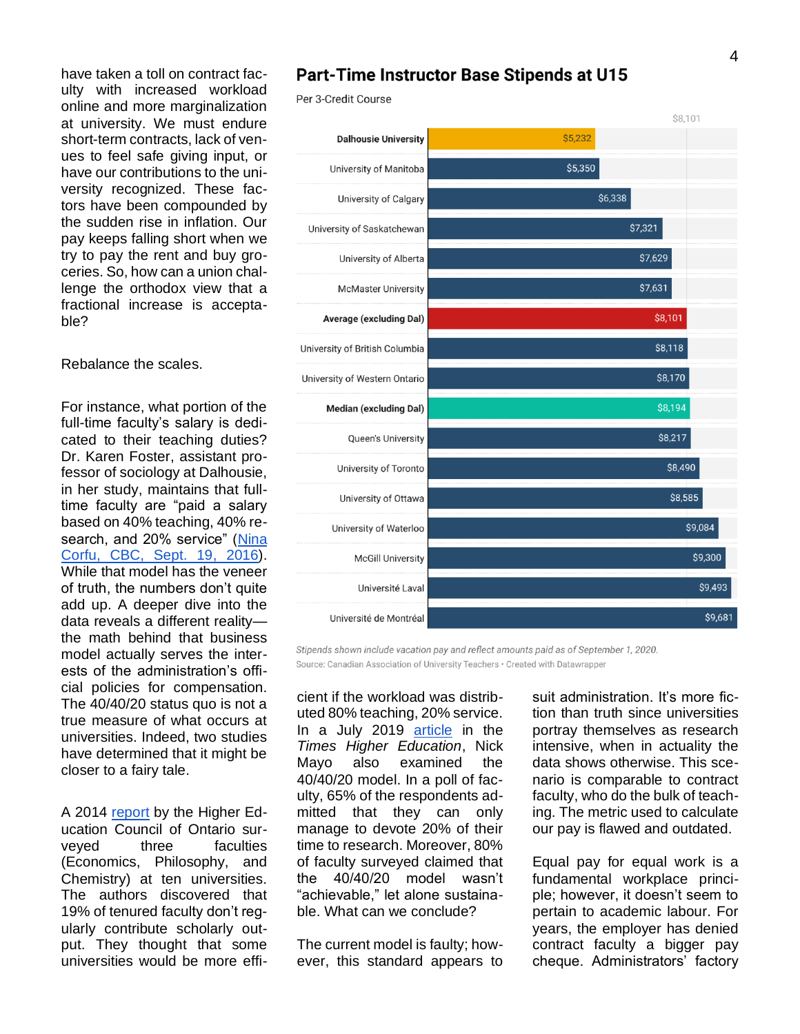have taken a toll on contract faculty with increased workload online and more marginalization at university. We must endure short-term contracts, lack of venues to feel safe giving input, or have our contributions to the university recognized. These factors have been compounded by the sudden rise in inflation. Our pay keeps falling short when we try to pay the rent and buy groceries. So, how can a union challenge the orthodox view that a fractional increase is acceptable?

#### Rebalance the scales.

For instance, what portion of the full-time faculty's salary is dedicated to their teaching duties? Dr. Karen Foster, assistant professor of sociology at Dalhousie, in her study, maintains that fulltime faculty are "paid a salary based on 40% teaching, 40% research, and 20% service" (Nina [Corfu, CBC, Sept. 19, 2016\)](https://www.cbc.ca/news/canada/nova-scotia/contract-instructors-universities-part-time-job-security). While that model has the veneer of truth, the numbers don't quite add up. A deeper dive into the data reveals a different reality the math behind that business model actually serves the interests of the administration's official policies for compensation. The 40/40/20 status quo is not a true measure of what occurs at universities. Indeed, two studies have determined that it might be closer to a fairy tale.

A 2014 [report](https://heqco.ca/pub/teaching-loads-and-research-outputs-of-ontario-university-faculty-implications-for-productivity-and-differentiation/) by the Higher Education Council of Ontario surveyed three faculties (Economics, Philosophy, and Chemistry) at ten universities. The authors discovered that 19% of tenured faculty don't regularly contribute scholarly output. They thought that some universities would be more effi-

#### **Part-Time Instructor Base Stipends at U15**

Per 3-Credit Course



Stipends shown include vacation pay and reflect amounts paid as of September 1, 2020. Source: Canadian Association of University Teachers · Created with Datawrapper

cient if the workload was distributed 80% teaching, 20% service. In a July 2019 [article](https://www.timeshighereducation.com/features/paid-research-time-vanishing-privilege-modern-academics) in the *Times Higher Education*, Nick Mayo also examined the 40/40/20 model. In a poll of faculty, 65% of the respondents admitted that they can only manage to devote 20% of their time to research. Moreover, 80% of faculty surveyed claimed that the 40/40/20 model wasn't "achievable," let alone sustainable. What can we conclude?

The current model is faulty; however, this standard appears to suit administration. It's more fiction than truth since universities portray themselves as research intensive, when in actuality the data shows otherwise. This scenario is comparable to contract faculty, who do the bulk of teaching. The metric used to calculate our pay is flawed and outdated.

Equal pay for equal work is a fundamental workplace principle; however, it doesn't seem to pertain to academic labour. For years, the employer has denied contract faculty a bigger pay cheque. Administrators' factory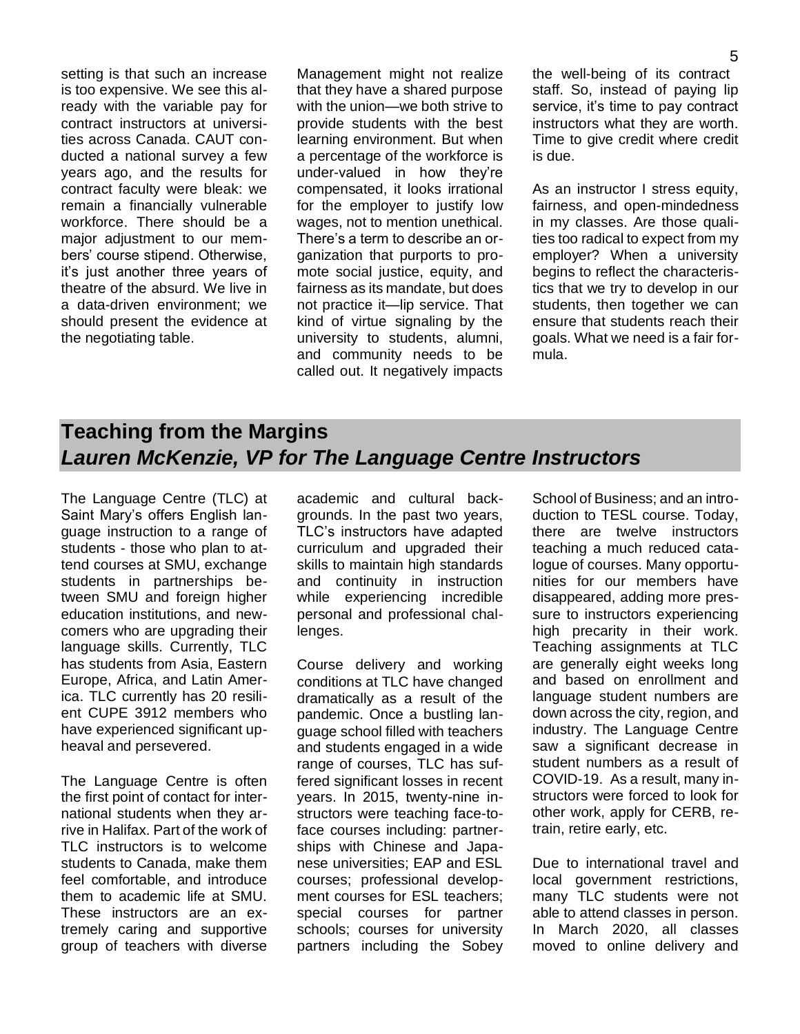setting is that such an increase is too expensive. We see this already with the variable pay for contract instructors at universities across Canada. CAUT conducted a national survey a few years ago, and the results for contract faculty were bleak: we remain a financially vulnerable workforce. There should be a major adjustment to our members' course stipend. Otherwise, it's just another three years of theatre of the absurd. We live in a data-driven environment; we should present the evidence at the negotiating table.

Management might not realize that they have a shared purpose with the union—we both strive to provide students with the best learning environment. But when a percentage of the workforce is under-valued in how they're compensated, it looks irrational for the employer to justify low wages, not to mention unethical. There's a term to describe an organization that purports to promote social justice, equity, and fairness as its mandate, but does not practice it—lip service. That kind of virtue signaling by the university to students, alumni, and community needs to be called out. It negatively impacts the well-being of its contract staff. So, instead of paying lip service, it's time to pay contract instructors what they are worth. Time to give credit where credit is due.

As an instructor I stress equity. fairness, and open-mindedness in my classes. Are those qualities too radical to expect from my employer? When a university begins to reflect the characteristics that we try to develop in our students, then together we can ensure that students reach their goals. What we need is a fair formula.

## **Teaching from the Margins** *Lauren McKenzie, VP for The Language Centre Instructors*

The Language Centre (TLC) at Saint Mary's offers English language instruction to a range of students - those who plan to attend courses at SMU, exchange students in partnerships between SMU and foreign higher education institutions, and newcomers who are upgrading their language skills. Currently, TLC has students from Asia, Eastern Europe, Africa, and Latin America. TLC currently has 20 resilient CUPE 3912 members who have experienced significant upheaval and persevered.

The Language Centre is often the first point of contact for international students when they arrive in Halifax. Part of the work of TLC instructors is to welcome students to Canada, make them feel comfortable, and introduce them to academic life at SMU. These instructors are an extremely caring and supportive group of teachers with diverse

academic and cultural backgrounds. In the past two years, TLC's instructors have adapted curriculum and upgraded their skills to maintain high standards and continuity in instruction while experiencing incredible personal and professional challenges.

Course delivery and working conditions at TLC have changed dramatically as a result of the pandemic. Once a bustling language school filled with teachers and students engaged in a wide range of courses, TLC has suffered significant losses in recent years. In 2015, twenty-nine instructors were teaching face-toface courses including: partnerships with Chinese and Japanese universities; EAP and ESL courses; professional development courses for ESL teachers; special courses for partner schools; courses for university partners including the Sobey

School of Business; and an introduction to TESL course. Today, there are twelve instructors teaching a much reduced catalogue of courses. Many opportunities for our members have disappeared, adding more pressure to instructors experiencing high precarity in their work. Teaching assignments at TLC are generally eight weeks long and based on enrollment and language student numbers are down across the city, region, and industry. The Language Centre saw a significant decrease in student numbers as a result of COVID-19. As a result, many instructors were forced to look for other work, apply for CERB, retrain, retire early, etc.

Due to international travel and local government restrictions, many TLC students were not able to attend classes in person. In March 2020, all classes moved to online delivery and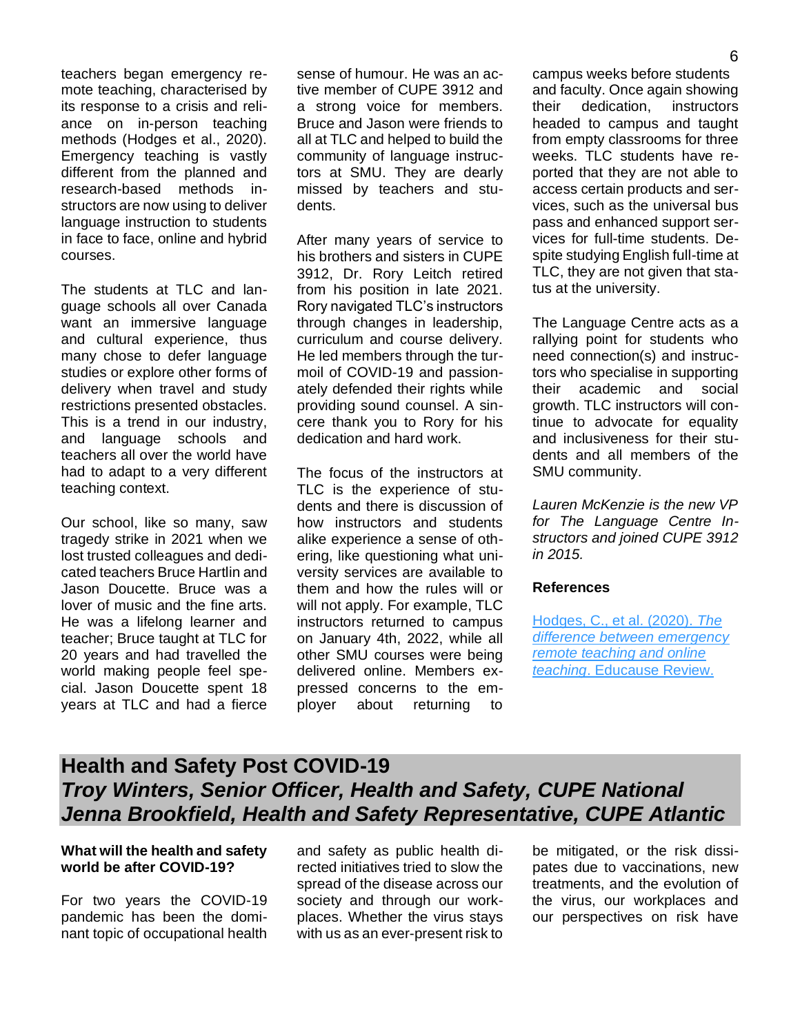teachers began emergency remote teaching, characterised by its response to a crisis and reliance on in-person teaching methods (Hodges et al., 2020). Emergency teaching is vastly different from the planned and research-based methods instructors are now using to deliver language instruction to students in face to face, online and hybrid courses.

The students at TLC and language schools all over Canada want an immersive language and cultural experience, thus many chose to defer language studies or explore other forms of delivery when travel and study restrictions presented obstacles. This is a trend in our industry, and language schools and teachers all over the world have had to adapt to a very different teaching context.

Our school, like so many, saw tragedy strike in 2021 when we lost trusted colleagues and dedicated teachers Bruce Hartlin and Jason Doucette. Bruce was a lover of music and the fine arts. He was a lifelong learner and teacher; Bruce taught at TLC for 20 years and had travelled the world making people feel special. Jason Doucette spent 18 years at TLC and had a fierce sense of humour. He was an active member of CUPE 3912 and a strong voice for members. Bruce and Jason were friends to all at TLC and helped to build the community of language instructors at SMU. They are dearly missed by teachers and students.

After many years of service to his brothers and sisters in CUPE 3912, Dr. Rory Leitch retired from his position in late 2021. Rory navigated TLC's instructors through changes in leadership, curriculum and course delivery. He led members through the turmoil of COVID-19 and passionately defended their rights while providing sound counsel. A sincere thank you to Rory for his dedication and hard work.

The focus of the instructors at TLC is the experience of students and there is discussion of how instructors and students alike experience a sense of othering, like questioning what university services are available to them and how the rules will or will not apply. For example, TLC instructors returned to campus on January 4th, 2022, while all other SMU courses were being delivered online. Members expressed concerns to the employer about returning to

campus weeks before students and faculty. Once again showing their dedication, instructors headed to campus and taught from empty classrooms for three weeks. TLC students have reported that they are not able to access certain products and services, such as the universal bus pass and enhanced support services for full-time students. Despite studying English full-time at TLC, they are not given that status at the university.

The Language Centre acts as a rallying point for students who need connection(s) and instructors who specialise in supporting their academic and social growth. TLC instructors will continue to advocate for equality and inclusiveness for their students and all members of the SMU community.

*Lauren McKenzie is the new VP for The Language Centre Instructors and joined CUPE 3912 in 2015.*

#### **References**

[Hodges, C., et al. \(2020\).](https://er.educause.edu/articles/2020/3/the-difference-between-emergency-remote-teaching-and-online-learning) *The [difference between emergency](https://er.educause.edu/articles/2020/3/the-difference-between-emergency-remote-teaching-and-online-learning)  [remote teaching and online](https://er.educause.edu/articles/2020/3/the-difference-between-emergency-remote-teaching-and-online-learning)  teaching*[. Educause Review.](https://er.educause.edu/articles/2020/3/the-difference-between-emergency-remote-teaching-and-online-learning)

## **Health and Safety Post COVID-19** *Troy Winters, Senior Officer, Health and Safety, CUPE National Jenna Brookfield, Health and Safety Representative, CUPE Atlantic*

#### **What will the health and safety world be after COVID-19?**

For two years the COVID-19 pandemic has been the dominant topic of occupational health and safety as public health directed initiatives tried to slow the spread of the disease across our society and through our workplaces. Whether the virus stays with us as an ever-present risk to

be mitigated, or the risk dissipates due to vaccinations, new treatments, and the evolution of the virus, our workplaces and our perspectives on risk have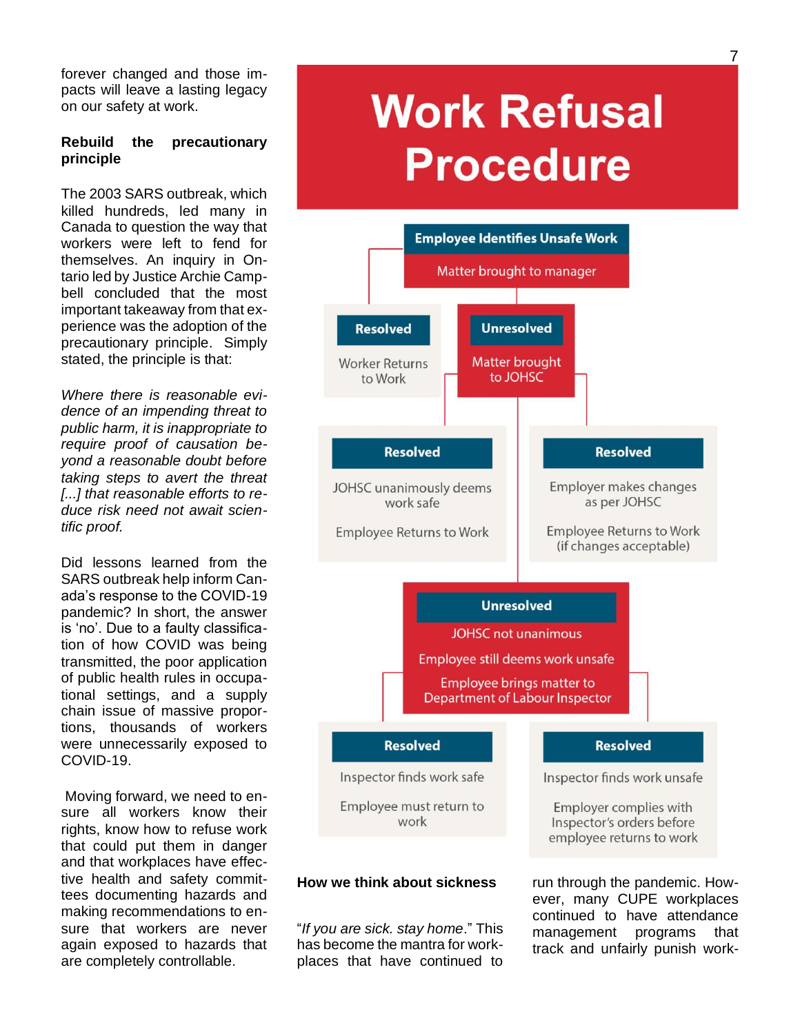forever changed and those impacts will leave a lasting legacy on our safety at work.

#### **Rebuild the precautionary principle**

The 2003 SARS outbreak, which killed hundreds, led many in Canada to question the way that workers were left to fend for themselves. An inquiry in Ontario led by Justice Archie Campbell concluded that the most important takeaway from that experience was the adoption of the precautionary principle. Simply stated, the principle is that:

*Where there is reasonable evidence of an impending threat to public harm, it is inappropriate to require proof of causation beyond a reasonable doubt before taking steps to avert the threat [...] that reasonable efforts to reduce risk need not await scientific proof.*

Did lessons learned from the SARS outbreak help inform Canada's response to the COVID-19 pandemic? In short, the answer is 'no'. Due to a faulty classification of how COVID was being transmitted, the poor application of public health rules in occupational settings, and a supply chain issue of massive proportions, thousands of workers were unnecessarily exposed to COVID-19.

Moving forward, we need to ensure all workers know their rights, know how to refuse work that could put them in danger and that workplaces have effective health and safety committees documenting hazards and making recommendations to ensure that workers are never again exposed to hazards that are completely controllable.

# **Work Refusal Procedure**



#### **How we think about sickness**

"*If you are sick. stay home*." This has become the mantra for workplaces that have continued to run through the pandemic. However, many CUPE workplaces continued to have attendance management programs that track and unfairly punish work